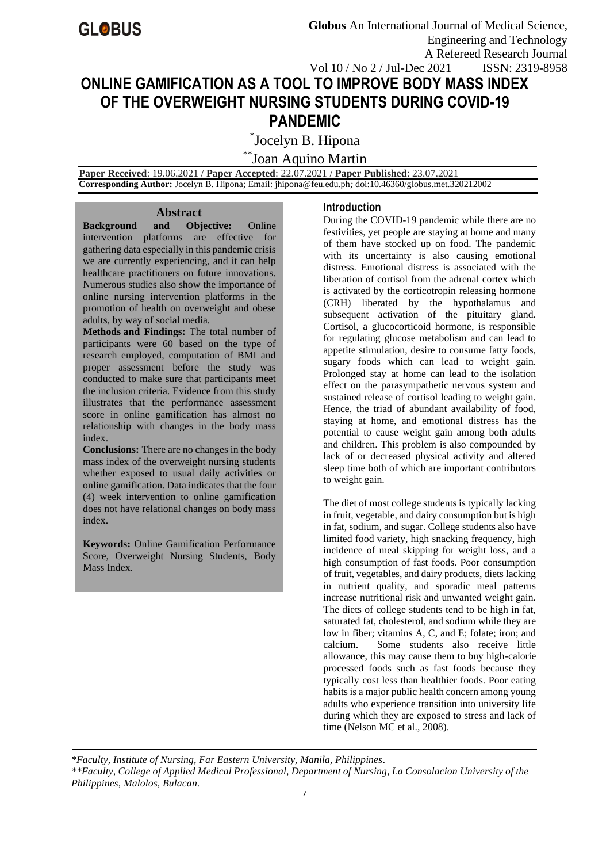# **ONLINE GAMIFICATION AS A TOOL TO IMPROVE BODY MASS INDEX OF THE OVERWEIGHT NURSING STUDENTS DURING COVID-19 PANDEMIC**

\* Jocelyn B. Hipona

\*\*Joan Aquino Martin

 **Paper Received**: 19.06.2021 / **Paper Accepted**: 22.07.2021 / **Paper Published**: 23.07.2021  **Corresponding Author:** Jocelyn B. Hipona; Email[: jhipona@feu.edu.ph](mailto:jhipona@feu.edu.ph)*;* doi:10.46360/globus.met.320212002

#### **Abstract**

**Background and Objective:** Online

intervention platforms are effective for gathering data especially in this pandemic crisis we are currently experiencing, and it can help healthcare practitioners on future innovations. Numerous studies also show the importance of online nursing intervention platforms in the promotion of health on overweight and obese adults, by way of social media.

**Methods and Findings:** The total number of participants were 60 based on the type of research employed, computation of BMI and proper assessment before the study was conducted to make sure that participants meet the inclusion criteria. Evidence from this study illustrates that the performance assessment score in online gamification has almost no relationship with changes in the body mass index.

**Conclusions:** There are no changes in the body mass index of the overweight nursing students whether exposed to usual daily activities or online gamification. Data indicates that the four (4) week intervention to online gamification does not have relational changes on body mass index.

**Keywords:** Online Gamification Performance Score, Overweight Nursing Students, Body Mass Index.

#### **Introduction**

During the COVID-19 pandemic while there are no festivities, yet people are staying at home and many of them have stocked up on food. The pandemic with its uncertainty is also causing emotional distress. Emotional distress is associated with the liberation of cortisol from the adrenal cortex which is activated by the corticotropin releasing hormone (CRH) liberated by the hypothalamus and subsequent activation of the pituitary gland. Cortisol, a glucocorticoid hormone, is responsible for regulating glucose metabolism and can lead to appetite stimulation, desire to consume fatty foods, sugary foods which can lead to weight gain. Prolonged stay at home can lead to the isolation effect on the parasympathetic nervous system and sustained release of cortisol leading to weight gain. Hence, the triad of abundant availability of food, staying at home, and emotional distress has the potential to cause weight gain among both adults and children. This problem is also compounded by lack of or decreased physical activity and altered sleep time both of which are important contributors to weight gain.

The diet of most college students is typically lacking in fruit, vegetable, and dairy consumption but is high in fat, sodium, and sugar. College students also have limited food variety, high snacking frequency, high incidence of meal skipping for weight loss, and a high consumption of fast foods. Poor consumption of fruit, vegetables, and dairy products, diets lacking in nutrient quality, and sporadic meal patterns increase nutritional risk and unwanted weight gain. The diets of college students tend to be high in fat, saturated fat, cholesterol, and sodium while they are low in fiber; vitamins A, C, and E; folate; iron; and calcium. Some students also receive little allowance, this may cause them to buy high-calorie processed foods such as fast foods because they typically cost less than healthier foods. Poor eating habits is a major public health concern among young adults who experience transition into university life during which they are exposed to stress and lack of time (Nelson MC et al., 2008).

*\*Faculty, Institute of Nursing, Far Eastern University, Manila, Philippines. \*\*Faculty, College of Applied Medical Professional, Department of Nursing, La Consolacion University of the Philippines, Malolos, Bulacan.*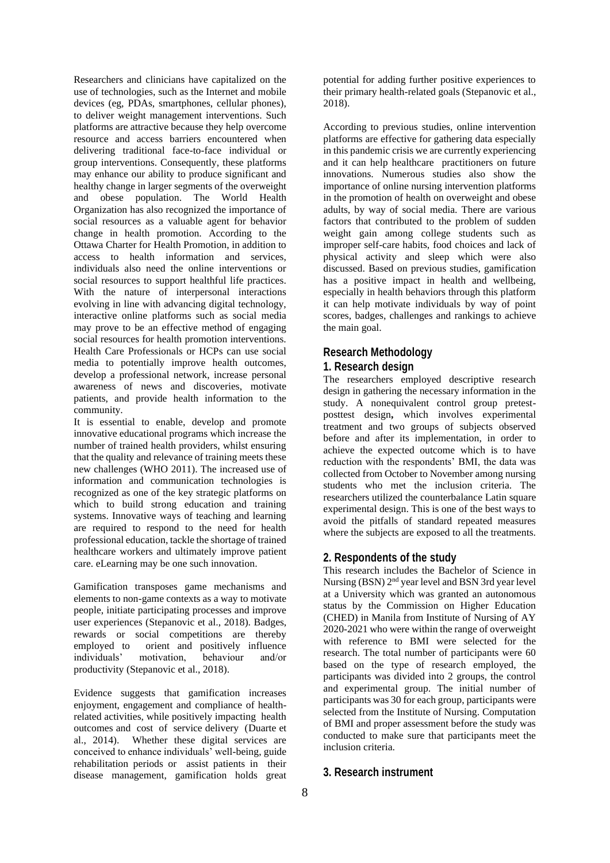Researchers and clinicians have capitalized on the use of technologies, such as the Internet and mobile devices (eg, PDAs, smartphones, cellular phones), to deliver weight management interventions. Such platforms are attractive because they help overcome resource and access barriers encountered when delivering traditional face-to-face individual or group interventions. Consequently, these platforms may enhance our ability to produce significant and healthy change in larger segments of the overweight and obese population. The World Health Organization has also recognized the importance of social resources as a valuable agent for behavior change in health promotion. According to the Ottawa Charter for Health Promotion, in addition to access to health information and services, individuals also need the online interventions or social resources to support healthful life practices. With the nature of interpersonal interactions evolving in line with advancing digital technology, interactive online platforms such as social media may prove to be an effective method of engaging social resources for health promotion interventions. Health Care Professionals or HCPs can use social media to potentially improve health outcomes, develop a professional network, increase personal awareness of news and discoveries, motivate patients, and provide health information to the community.

It is essential to enable, develop and promote innovative educational programs which increase the number of trained health providers, whilst ensuring that the quality and relevance of training meets these new challenges [\(WHO 2011\)](https://www.ncbi.nlm.nih.gov/pmc/articles/PMC6513491/#CD012209-bbs2-0053). The increased use of information and communication technologies is recognized as one of the key strategic platforms on which to build strong education and training systems. Innovative ways of teaching and learning are required to respond to the need for health professional education, tackle the shortage of trained healthcare workers and ultimately improve patient care. eLearning may be one such innovation.

Gamification transposes game mechanisms and elements to non-game contexts as a way to motivate people, initiate participating processes and improve user experiences (Stepanovic et al., 2018). Badges, rewards or social competitions are thereby employed to orient and positively influence individuals' motivation, behaviour and/or productivity (Stepanovic et al., 2018).

Evidence suggests that gamification increases enjoyment, engagement and compliance of healthrelated activities, while positively impacting health outcomes and cost of service delivery (Duarte et al., 2014). Whether these digital services are conceived to enhance individuals' well-being, guide rehabilitation periods or assist patients in their disease management, gamification holds great

potential for adding further positive experiences to their primary health-related goals (Stepanovic et al., 2018).

According to previous studies, online intervention platforms are effective for gathering data especially in this pandemic crisis we are currently experiencing and it can help healthcare practitioners on future innovations. Numerous studies also show the importance of online nursing intervention platforms in the promotion of health on overweight and obese adults, by way of social media. There are various factors that contributed to the problem of sudden weight gain among college students such as improper self-care habits, food choices and lack of physical activity and sleep which were also discussed. Based on previous studies, gamification has a positive impact in health and wellbeing, especially in health behaviors through this platform it can help motivate individuals by way of point scores, badges, challenges and rankings to achieve the main goal.

## **Research Methodology 1. Research design**

The researchers employed descriptive research design in gathering the necessary information in the study. A nonequivalent control group pretestposttest design**,** which involves experimental treatment and two groups of subjects observed before and after its implementation, in order to achieve the expected outcome which is to have reduction with the respondents' BMI, the data was collected from October to November among nursing students who met the inclusion criteria. The researchers utilized the counterbalance Latin square experimental design. This is one of the best ways to avoid the pitfalls of standard repeated measures where the subjects are exposed to all the treatments.

## **2. Respondents of the study**

This research includes the Bachelor of Science in Nursing (BSN) 2<sup>nd</sup> year level and BSN 3rd year level at a University which was granted an autonomous status by the Commission on Higher Education (CHED) in Manila from Institute of Nursing of AY 2020-2021 who were within the range of overweight with reference to BMI were selected for the research. The total number of participants were 60 based on the type of research employed, the participants was divided into 2 groups, the control and experimental group. The initial number of participants was 30 for each group, participants were selected from the Institute of Nursing. Computation of BMI and proper assessment before the study was conducted to make sure that participants meet the inclusion criteria.

# **3. Research instrument**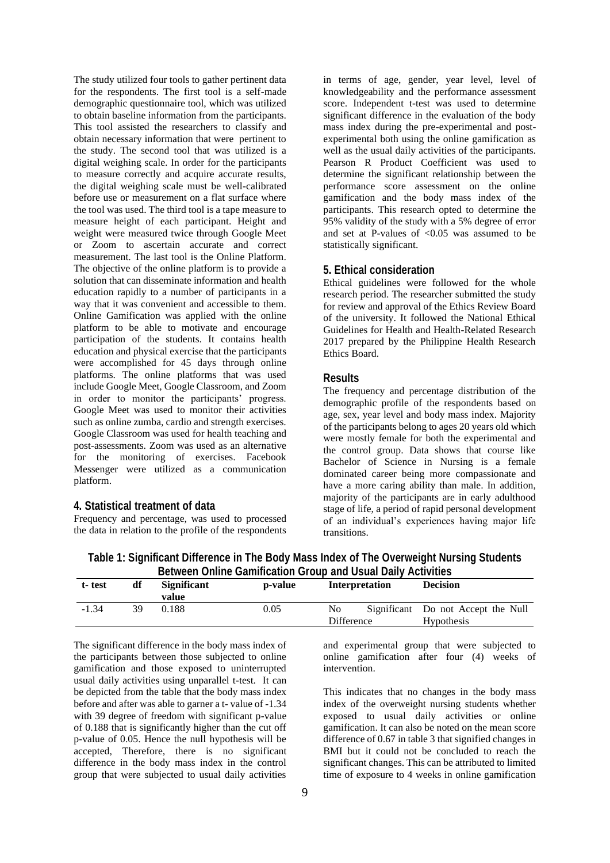The study utilized four tools to gather pertinent data for the respondents. The first tool is a self-made demographic questionnaire tool, which was utilized to obtain baseline information from the participants. This tool assisted the researchers to classify and obtain necessary information that were pertinent to the study. The second tool that was utilized is a digital weighing scale. In order for the participants to measure correctly and acquire accurate results, the digital weighing scale must be well-calibrated before use or measurement on a flat surface where the tool was used. The third tool is a tape measure to measure height of each participant. Height and weight were measured twice through Google Meet or Zoom to ascertain accurate and correct measurement. The last tool is the Online Platform. The objective of the online platform is to provide a solution that can disseminate information and health education rapidly to a number of participants in a way that it was convenient and accessible to them. Online Gamification was applied with the online platform to be able to motivate and encourage participation of the students. It contains health education and physical exercise that the participants were accomplished for 45 days through online platforms. The online platforms that was used include Google Meet, Google Classroom, and Zoom in order to monitor the participants' progress. Google Meet was used to monitor their activities such as online zumba, cardio and strength exercises. Google Classroom was used for health teaching and post-assessments. Zoom was used as an alternative for the monitoring of exercises. Facebook Messenger were utilized as a communication platform.

#### **4. Statistical treatment of data**

Frequency and percentage, was used to processed the data in relation to the profile of the respondents in terms of age, gender, year level, level of knowledgeability and the performance assessment score. Independent t-test was used to determine significant difference in the evaluation of the body mass index during the pre-experimental and postexperimental both using the online gamification as well as the usual daily activities of the participants. Pearson R Product Coefficient was used to determine the significant relationship between the performance score assessment on the online gamification and the body mass index of the participants. This research opted to determine the 95% validity of the study with a 5% degree of error and set at P-values of  $\leq 0.05$  was assumed to be statistically significant.

#### **5. Ethical consideration**

Ethical guidelines were followed for the whole research period. The researcher submitted the study for review and approval of the Ethics Review Board of the university. It followed the National Ethical Guidelines for Health and Health-Related Research 2017 prepared by the Philippine Health Research Ethics Board.

#### **Results**

The frequency and percentage distribution of the demographic profile of the respondents based on age, sex, year level and body mass index. Majority of the participants belong to ages 20 years old which were mostly female for both the experimental and the control group. Data shows that course like Bachelor of Science in Nursing is a female dominated career being more compassionate and have a more caring ability than male. In addition, majority of the participants are in early adulthood stage of life, a period of rapid personal development of an individual's experiences having major life transitions.

| <b>Detween Online Gammication Group and Ostial Daily Activities</b> |    |                    |         |            |                |                                    |  |  |
|---------------------------------------------------------------------|----|--------------------|---------|------------|----------------|------------------------------------|--|--|
| t-test                                                              | df | <b>Significant</b> | p-value |            | Interpretation | <b>Decision</b>                    |  |  |
|                                                                     |    | value              |         |            |                |                                    |  |  |
| $-1.34$                                                             | 39 | 0.188              | 0.05    | No.        |                | Significant Do not Accept the Null |  |  |
|                                                                     |    |                    |         | Difference |                | <b>Hypothesis</b>                  |  |  |

**Table 1: Significant Difference in The Body Mass Index of The Overweight Nursing Students Between Online Gamification Group and Usual Daily Activities**

The significant difference in the body mass index of the participants between those subjected to online gamification and those exposed to uninterrupted usual daily activities using unparallel t-test. It can be depicted from the table that the body mass index before and after was able to garner a t- value of -1.34 with 39 degree of freedom with significant p-value of 0.188 that is significantly higher than the cut off p-value of 0.05. Hence the null hypothesis will be accepted, Therefore, there is no significant difference in the body mass index in the control group that were subjected to usual daily activities

and experimental group that were subjected to online gamification after four (4) weeks of intervention.

This indicates that no changes in the body mass index of the overweight nursing students whether exposed to usual daily activities or online gamification. It can also be noted on the mean score difference of 0.67 in table 3 that signified changes in BMI but it could not be concluded to reach the significant changes. This can be attributed to limited time of exposure to 4 weeks in online gamification